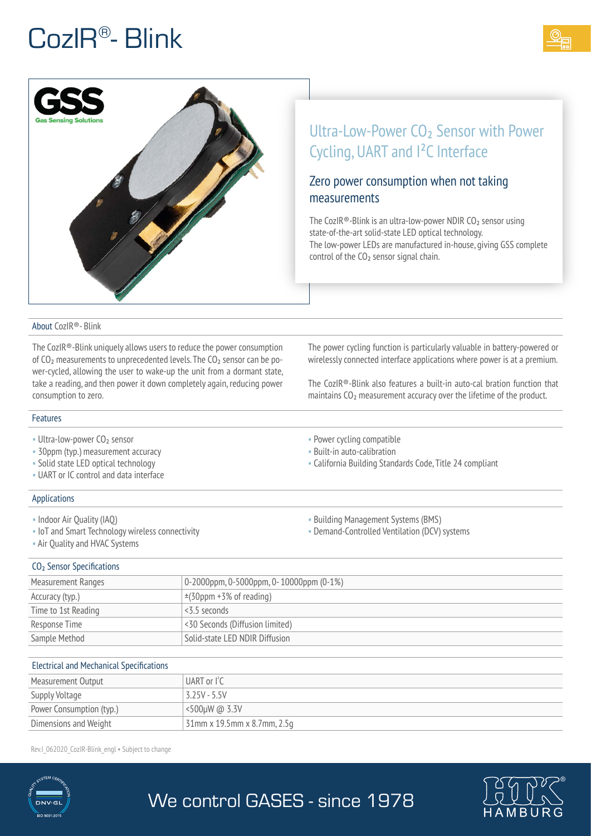# CozIR®- Blink





## Ultra-Low-Power CO<sub>2</sub> Sensor with Power Cycling, UART and I²C Interface

### Zero power consumption when not taking measurements

The CozIR®-Blink is an ultra-low-power NDIR  $CO<sub>2</sub>$  sensor using state-of-the-art solid-state LED optical technology. The low-power LEDs are manufactured in-house, giving GSS complete control of the CO<sub>2</sub> sensor signal chain.

About CozIR®- Blink

The CozIR®-Blink uniquely allows users to reduce the power consumption of CO<sub>2</sub> measurements to unprecedented levels. The CO<sub>2</sub> sensor can be power-cycled, allowing the user to wake-up the unit from a dormant state, take a reading, and then power it down completely again, reducing power consumption to zero.

The power cycling function is particularly valuable in battery-powered or wirelessly connected interface applications where power is at a premium.

The CozIR®-Blink also features a built-in auto-cal bration function that maintains CO<sub>2</sub> measurement accuracy over the lifetime of the product.

#### Features

- Ultra-low-power CO<sub>2</sub> sensor
- 30ppm (typ.) measurement accuracy
- Solid state LED optical technology
- UART or IC control and data interface

#### Applications

- Indoor Air Quality (IAQ)
- IoT and Smart Technology wireless connectivity
- Air Quality and HVAC Systems

• Building Management Systems (BMS)

• Power cycling compatible • Built-in auto-calibration

• Demand-Controlled Ventilation (DCV) systems

• California Building Standards Code, Title 24 compliant

### CO<sub>2</sub> Sensor Specifications

| Measurement Ranges  | $\vert 0.2000$ ppm, 0-5000ppm, 0-10000ppm (0-1%) |  |
|---------------------|--------------------------------------------------|--|
| Accuracy (typ.)     | $\pm$ (30ppm +3% of reading)                     |  |
| Time to 1st Reading | $<$ 3.5 seconds                                  |  |
| Response Time       | <30 Seconds (Diffusion limited)                  |  |
| Sample Method       | Solid-state LED NDIR Diffusion                   |  |

### Electrical and Mechanical Specifications

| Measurement Output       | UART or I'C                 |  |
|--------------------------|-----------------------------|--|
| Supply Voltage           | $3.25V - 5.5V$              |  |
| Power Consumption (typ.) | 1 <500µW @ 3.3V             |  |
| Dimensions and Weight    | 31mm x 19.5mm x 8.7mm, 2.5q |  |

Rev.I\_062020\_CozIR-Blink\_engl • Subject to change